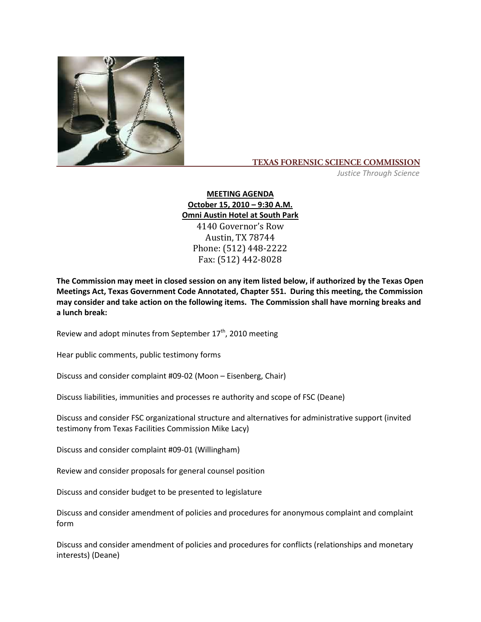

## **TEXAS FORENSIC SCIENCE COMMISSION**

*Justice Through Science*

**MEETING AGENDA October 15, 2010 – 9:30 A.M. Omni Austin Hotel at South Park** 4140 Governor's Row Austin, TX 78744 Phone: (512) 448-2222 Fax: (512) 442-8028

**The Commission may meet in closed session on any item listed below, if authorized by the Texas Open Meetings Act, Texas Government Code Annotated, Chapter 551. During this meeting, the Commission may consider and take action on the following items. The Commission shall have morning breaks and a lunch break:**

Review and adopt minutes from September  $17<sup>th</sup>$ , 2010 meeting

Hear public comments, public testimony forms

Discuss and consider complaint #09-02 (Moon – Eisenberg, Chair)

Discuss liabilities, immunities and processes re authority and scope of FSC (Deane)

Discuss and consider FSC organizational structure and alternatives for administrative support (invited testimony from Texas Facilities Commission Mike Lacy)

Discuss and consider complaint #09-01 (Willingham)

Review and consider proposals for general counsel position

Discuss and consider budget to be presented to legislature

Discuss and consider amendment of policies and procedures for anonymous complaint and complaint form

Discuss and consider amendment of policies and procedures for conflicts (relationships and monetary interests) (Deane)